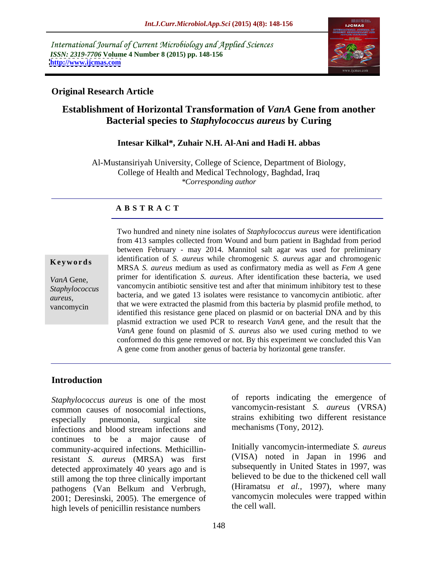International Journal of Current Microbiology and Applied Sciences *ISSN: 2319-7706* **Volume 4 Number 8 (2015) pp. 148-156 <http://www.ijcmas.com>**



### **Original Research Article**

# **Establishment of Horizontal Transformation of** *VanA* **Gene from another Bacterial species to** *Staphylococcus aureus* **by Curing**

### **Intesar Kilkal\*, Zuhair N.H. Al-Ani and Hadi H. abbas**

Al-Mustansiriyah University, College of Science, Department of Biology, College of Health and Medical Technology, Baghdad, Iraq *\*Corresponding author*

### **A B S T R A C T**

vancomycin

Two hundred and ninety nine isolates of *Staphylococcus aureus* were identification from 413 samples collected from Wound and burn patient in Baghdad from period between February - may 2014. Mannitol salt agar was used for preliminary **Keywords** identification of *S. aureus* while chromogenic *S. aureus* agar and chromogenic MRSA *S. aureus* medium as used as confirmatory media as well as *Fem A* gene primer for identification *S. aureus*. After identification these bacteria, we used *VanA* Gene, vancomycin antibiotic sensitive test and after that minimum inhibitory test to these *Staphylococcus*  bacteria, and we gated 13 isolates were resistance to vancomycin antibiotic. after *aureus,* that we were extracted the plasmid from this bacteria by plasmid profile method, to identified this resistance gene placed on plasmid or on bacterial DNA and by this plasmid extraction we used PCR to research *VanA* gene, and the result that the *VanA* gene found on plasmid of *S. aureus* also we used curing method to we conformed do this gene removed or not. By this experiment we concluded this Van A gene come from another genus of bacteria by horizontal gene transfer.

### **Introduction**

*Staphylococcus aureus* is one of the most common causes of nosocomial infections, especially pneumonia, surgical site strains exhibiting two different resistance infections and blood stream infections and continues to be a major cause of community-acquired infections. Methicillinresistant *S. aureus* (MRSA) was first detected approximately 40 years ago and is still among the top three clinically important pathogens (Van Belkum and Verbrugh, (Hiramatsu *et al.*, 1997), where many<br>2001; Deresinski, 2005). The emergence of vancomycin molecules were trapped within high levels of penicillin resistance numbers the cell wall.

of reports indicating the emergence of vancomycin-resistant *S. aureus* (VRSA) mechanisms (Tony, 2012).

Initially vancomycin-intermediate *S. aureus* (VISA) noted in Japan in 1996 and subsequently in United States in 1997, was believed to be due to the thickened cell wall (Hiramatsu *et al.,* 1997), where many vancomycin molecules were trapped within the cell wall.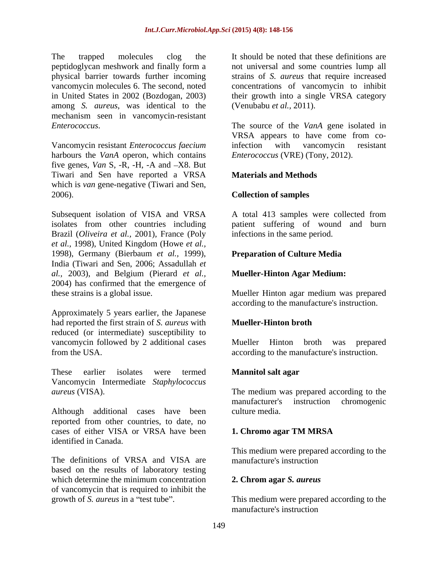The trapped molecules clog the It should be noted that these definitions are peptidoglycan meshwork and finally form a physical barrier towards further incoming strains of *S. aureus* that require increased vancomycin molecules 6. The second, noted concentrations of vancomycin to inhibit in United States in 2002 (Bozdogan, 2003) their growth into a single VRSA category among *S. aureus*, was identical to the mechanism seen in vancomycin-resistant

harbours the *VanA* operon, which contains five genes,  $Van S$ ,  $-R$ ,  $-H$ ,  $-A$  and  $-X8$ . But Tiwari and Sen have reported a VRSA which is *van* gene-negative (Tiwari and Sen, 2006). **Collection of samples** 

Subsequent isolation of VISA and VRSA isolates from other countries including patient suffering of wound and burn Brazil (*Oliveira et al.,* 2001), France (Poly *et al.,* 1998), United Kingdom (Howe *et al.,* 1998), Germany (Bierbaum *et al.,* 1999), India (Tiwari and Sen, 2006; Assadullah *et al.,* 2003), and Belgium (Pierard *et al.,* 2004) has confirmed that the emergence of

Approximately 5 years earlier, the Japanese had reported the first strain of *S. aureus* with reduced (or intermediate) susceptibility to vancomycin followed by 2 additional cases Mueller Hinton broth was prepared from the USA. according to the manufacture's instruction.

These earlier isolates were termed **Mannitol salt agar** Vancomycin Intermediate *Staphylococcus* 

Although additional cases have been culture media. reported from other countries, to date, no cases of either VISA or VRSA have been **1. Chromo agar TM MRSA** identified in Canada.

The definitions of VRSA and VISA are manufacture's instruction based on the results of laboratory testing which determine the minimum concentration 2. Chrom agar *S. aureus* of vancomycin that is required to inhibit the growth of *S. aureus* in a "test tube". This medium were prepared according to the

not universal and some countries lump all (Venubabu *et al.,* 2011).

*Enterococcus*. The source of the *VanA* gene isolated in<br>VRSA appears to have come from co-<br>Vancomycin resistant *Enterococcus faecium* infection with vancomycin resistant The source of the *VanA* gene isolated in VRSA appears to have come from coinfection with vancomycin resistant *Enterococcus* (VRE) (Tony, 2012).

# **Materials and Methods**

A total 413 samples were collected from infections in the same period.

### **Preparation of Culture Media**

### **Mueller-Hinton Agar Medium:**

these strains is a global issue. Mueller Hinton agar medium was prepared according to the manufacture's instruction.

### **Mueller-Hinton broth**

Mueller Hinton broth was prepared

### **Mannitol salt agar**

*aureus* (VISA). The medium was prepared according to the manufacturer's instruction chromogenic culture media.

### **1. Chromo agar TM MRSA**

This medium were prepared according to the manufacture's instruction

### **2. Chrom agar** *S. aureus*

manufacture's instruction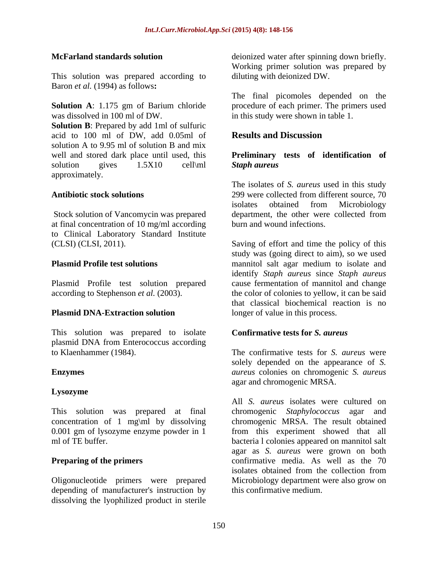This solution was prepared according to Baron *et al.* (1994) as follows**:**

was dissolved in 100 ml of DW. in this study were shown in table 1.

**Solution B**: Prepared by add 1ml of sulfuric acid to 100 ml of DW, add 0.05ml of **Results and Discussion** solution A to 9.95 ml of solution B and mix well and stored dark place until used, this **Preliminary tests of identification of** solution gives 1.5X10 cell\ml Staph aureus approximately.

at final concentration of 10 mg/ml according to Clinical Laboratory Standard Institute

This solution was prepared to isolate plasmid DNA from Enterococcus according

# **Lysozyme**

This solution was prepared at final

depending of manufacturer's instruction by dissolving the lyophilized product in sterile

**McFarland standards solution** deionized water after spinning down briefly. Working primer solution was prepared by diluting with deionized DW.

**Solution A**: 1.175 gm of Barium chloride procedure of each primer. The primers used The final picomoles depended on the

# **Results and Discussion**

# *Staph aureus*

**Antibiotic stock solutions** Stock solution of Vancomycin was prepared department, the other were collected from The isolates of *S. aureus* used in this study 299 were collected from different source, 70 isolates obtained from Microbiology burn and wound infections.

(CLSI) (CLSI, 2011). Saving of effort and time the policy of this **Plasmid Profile test solutions** mannitol salt agar medium to isolate and Plasmid Profile test solution prepared cause fermentation of mannitol and change according to Stephenson *et al.* (2003). the color of colonies to yellow, it can be said **Plasmid DNA-Extraction solution** longer of value in this process. study was (going direct to aim), so we used identify *Staph aureus* since *Staph aureus* that classical biochemical reaction is no longer of value in this process.

### **Confirmative tests for** *S. aureus*

to Klaenhammer (1984). The confirmative tests for *S. aureus* were **Enzymes** *aureus* colonies on chromogenic *S. aureus* solely depended on the appearance of *S.*  agar and chromogenic MRSA.

concentration of 1 mg\ml by dissolving chromogenic MRSA. The result obtained 0.001 gm of lysozyme enzyme powder in 1 from this experiment showed that all ml of TE buffer. bacteria l colonies appeared on mannitol salt **Preparing of the primers** confirmative media. As well as the 70 Oligonucleotide primers were prepared Microbiology department were also grow on All *S. aureus* isolates were cultured on chromogenic *Staphylococcus* agar and agar as *S. aureus* were grown on both isolates obtained from the collection from this confirmative medium.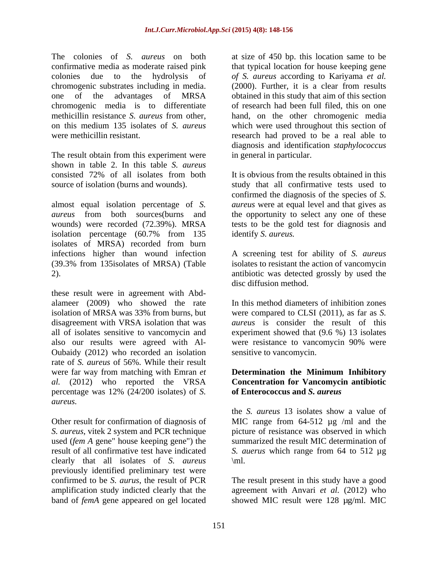The colonies of *S. aureus* on both confirmative media as moderate raised pink colonies due to the hydrolysis of *of S. aureus* according to Kariyama *et al.* chromogenic substrates including in media. (2000). Further, it is a clear from results one of the advantages of MRSA chromogenic media is to differentiate<br>methicillin resistance S. *aureus* from other, methicillin resistance *S. aureus* from other, hand, on the other chromogenic media on this medium 135 isolates of *S. aureus* which were used throughout this section of were methicillin resistant. The research had proved to be a real able to

The result obtain from this experiment were shown in table 2. In this table *S. aureus*

almost equal isolation percentage of *S. aureus* were at equal level and that gives as *aureus* from both sources(burns and the opportunity to select any one of these wounds) were recorded (72.39%). MRSA tests to be the gold test for diagnosis and isolation percentage (60.7% from 135 isolates of MRSA) recorded from burn infections higher than wound infection A screening test for ability of *S. aureus* (39.3% from 135isolates of MRSA) (Table isolates to resistant the action of vancomycin 2). antibiotic was detected grossly by used the

these result were in agreement with Abd alameer (2009) who showed the rate isolation of MRSA was 33% from burns, but were compared to CLSI (2011), as far as *S.*  disagreement with VRSA isolation that was all of isolates sensitive to vancomycin and experiment showed that (9.6 %) 13 isolates also our results were agreed with Al- Oubaidy (2012) who recorded an isolation rate of *S. aureus* of 56%. While their result were far way from matching with Emran *et* **Determination the Minimum Inhibitory** *al.* (2012) who reported the VRSA percentage was 12% (24/200 isolates) of *S. aureus.* 

Other result for confirmation of diagnosis of *S. aureus*, vitek 2 system and PCR technique used (*fem A* gene" house keeping gene") the clearly that all isolates of *S. aureus* previously identified preliminary test were confirmed to be *S. aurus*, the result of PCR The result present in this study have a good amplification study indicted clearly that the agreement with Anvari *et al.* (2012) who band of *femA* gene appeared on gel located

at size of 450 bp. this location same to be that typical location for house keeping gene obtained in this study that aim of this section of research had been full filed, this on one diagnosis and identification *staphylococcus* in general in particular.

consisted 72% of all isolates from both source of isolation (burns and wounds). Study that all confirmative tests used to It is obvious from the results obtained in this confirmed the diagnosis of the species of *S.*  identify *S. aureus.*

disc diffusion method.

In this method diameters of inhibition zones *aureus* is consider the result of this were resistance to vancomycin 90% were sensitive to vancomycin.

### **Determination the Minimum Inhibitory Concentration for Vancomycin antibiotic of Enterococcus and** *S. aureus*

result of all confirmative test have indicated *S. auerus* which range from 64 to 512 µg the *S. aureus* 13 isolates show a value of MIC range from 64-512  $\mu$ g /ml and the picture of resistance was observed in which summarized the result MIC determination of  $\mathrm{m}$ .

showed MIC result were 128 µg/ml. MIC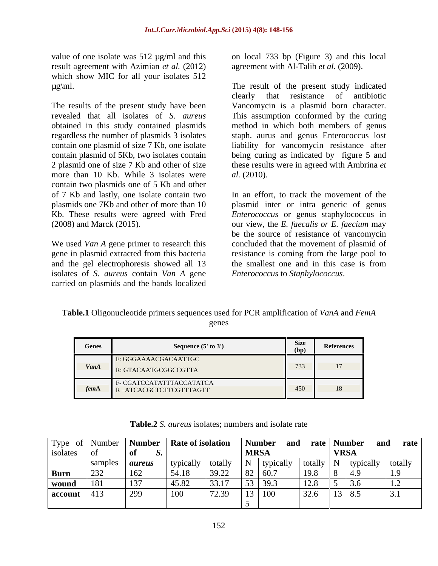result agreement with Azimian *et al.* (2012) which show MIC for all your isolates 512

more than 10 Kb. While 3 isolates were *al.* (2010). contain two plasmids one of 5 Kb and other of 7 Kb and lastly, one isolate contain two

isolates of *S. aureus* contain *Van A* gene carried on plasmids and the bands localized

value of one isolate was 512  $\mu$ g/ml and this on local 733 bp (Figure 3) and this local agreement with Al-Talib *et al.* (2009).

µg\ml. The result of the present study indicated The results of the present study have been Vancomycin is a plasmid born character. revealed that all isolates of *S. aureus* This assumption conformed by the curing obtained in this study contained plasmids method in which both members of genus regardless the number of plasmids 3 isolates staph. aurus and genus Enterococcus lost contain one plasmid of size 7 Kb, one isolate liability for vancomycin resistance after contain plasmid of 5Kb, two isolates contain being curing as indicated by figure 5 and 2 plasmid one of size 7 Kb and other of size these results were in agreed with Ambrina *et*  clearly that resistance of antibiotic *al.* (2010).

plasmids one 7Kb and other of more than 10 plasmid inter or intra generic of genus Kb. These results were agreed with Fred *Enterococcus* or genus staphylococcus in (2008) and Marck (2015). our view, the *E. faecalis or E. faecium* may We used *Van A* gene primer to research this concluded that the movement of plasmid of gene in plasmid extracted from this bacteria eresistance is coming from the large pool to and the gel electrophoresis showed all 13 the smallest one and in this case is from In an effort, to track the movement of the be the source of resistance of vancomycin *Enterococcus* to *Staphylococcus*.

**Table.1** Oligonucleotide primers sequences used for PCR amplification of *VanA* and *FemA* genes **general** 

| Genes | Sequence $(5'$ to $3')$                            | <b>Size</b><br>,,,,        | References |
|-------|----------------------------------------------------|----------------------------|------------|
|       | F: GGGAAAACGACAATTGC                               | 722                        |            |
| VanA  | R: GTACAATGCGGCCGTTA                               | 799                        |            |
| tem   | F- CGATCCATATTTACCATATCA<br>R-ATCACGCTCTTCGTTTAGTT | $\Lambda$ $\Gamma$<br>-430 |            |

|               |             |                                                                                                | <b>Rate of isolation</b> |           | Number and     |      |                                                               | $\mu$ rate Number and rate      |
|---------------|-------------|------------------------------------------------------------------------------------------------|--------------------------|-----------|----------------|------|---------------------------------------------------------------|---------------------------------|
|               |             | Type of Number Number<br>isolates of $\begin{array}{c}$ Number<br>of $\begin{array}{c}$ Number |                          |           | MRSA           |      | <b>VRSA</b>                                                   |                                 |
|               | samples     | <i>aureus</i>                                                                                  | typically                | / totally | typically      |      | $\left  \right $ totally $\left  N \right $ typically totally |                                 |
| <b>Burn</b>   | $\vert$ 232 | 162                                                                                            | 54.18                    | 39.22     | $82 \mid 60.7$ | 19.8 | 4.9                                                           | $\overline{1}$ $\overline{0}$   |
| wound         | 181         | 137                                                                                            | 45.82                    | 33.17     | $53 \mid 39.3$ | 12.8 | 3.0                                                           | $\overline{1}$ . $\overline{2}$ |
| account $ 41$ |             | 299                                                                                            | 100                      | 72.39     | 100<br>13      | 32.6 | $13 \mid 8.5$                                                 |                                 |
|               |             |                                                                                                |                          |           |                |      |                                                               |                                 |

**Table.2** *S. aureus* isolates; numbers and isolate rate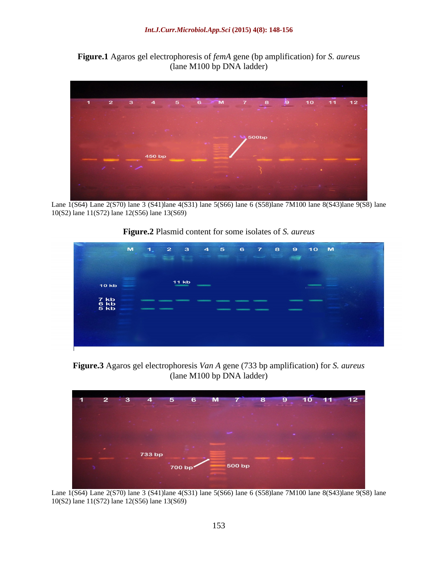**Figure.1** Agaros gel electrophoresis of *femA* gene (bp amplification) for *S. aureus* (lane M100 bp DNA ladder)



Lane 1(S64) Lane 2(S70) lane 3 (S41)lane 4(S31) lane 5(S66) lane 6 (S58)lane 7M100 lane 8(S43)lane 9(S8) lane 10(S2) lane 11(S72) lane 12(S56) lane 13(S69)

**Figure.2** Plasmid content for some isolates of *S. aureus*

|                                   | M | 41           | 27 | $3^{\circ}$  | $\overline{4}$ | $5^{\circ}$ | 6 | 7 8 | $\overline{9}$ | 10 M |  |
|-----------------------------------|---|--------------|----|--------------|----------------|-------------|---|-----|----------------|------|--|
| <b>10 kb</b>                      |   |              |    | <b>11 kb</b> |                |             |   |     |                |      |  |
| $7$ kb<br>6 kb<br>5 <sub>kb</sub> |   | <b>STATE</b> |    |              |                |             |   |     |                |      |  |
|                                   |   |              |    |              |                |             |   |     |                |      |  |

**Figure.3** Agaros gel electrophoresis *Van A* gene (733 bp amplification) for *S. aureus* (lane M100 bp DNA ladder)



Lane 1(S64) Lane 2(S70) lane 3 (S41)lane 4(S31) lane 5(S66) lane 6 (S58)lane 7M100 lane 8(S43)lane 9(S8) lane 10(S2) lane 11(S72) lane 12(S56) lane 13(S69)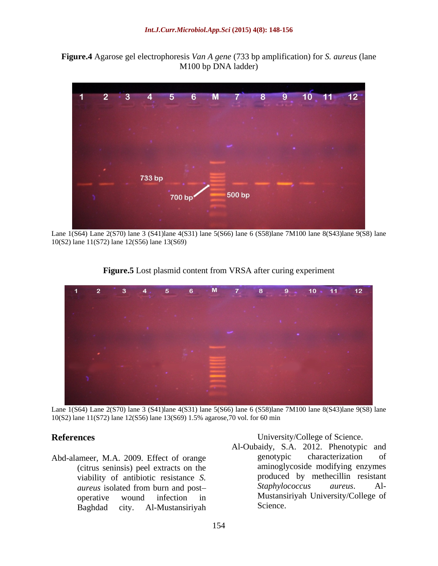



Lane 1(S64) Lane 2(S70) lane 3 (S41)lane 4(S31) lane 5(S66) lane 6 (S58)lane 7M100 lane 8(S43)lane 9(S8) lane 10(S2) lane 11(S72) lane 12(S56) lane 13(S69)



**Figure.5** Lost plasmid content from VRSA after curing experiment

Lane 1(S64) Lane 2(S70) lane 3 (S41)lane 4(S31) lane 5(S66) lane 6 (S58)lane 7M100 lane 8(S43)lane 9(S8) lane 10(S2) lane 11(S72) lane 12(S56) lane 13(S69) 1.5% agarose,70 vol. for 60 min

(citrus seninsis) peel extracts on the

**References** University/College of Science.

Abd-alameer, M.A. 2009. Effect of orange genotypic characterization of viability of antibiotic resistance *S*. The produced by methecillin resistant *aureus* isolated from burn and post—<br>*Staphylococcus aureus*. Al*aureus* isolated from burn and post— *Staphylococcus* aureus. Aloperative wound infection in Mustansiriyah University/College of Baghdad city. Al-Mustansiriyah Al-Oubaidy, S.A. 2012. Phenotypic and genotypic characterization of aminoglycoside modifying enzymes produced by methecillin resistant *Staphylococcus aureus*. Al- Science.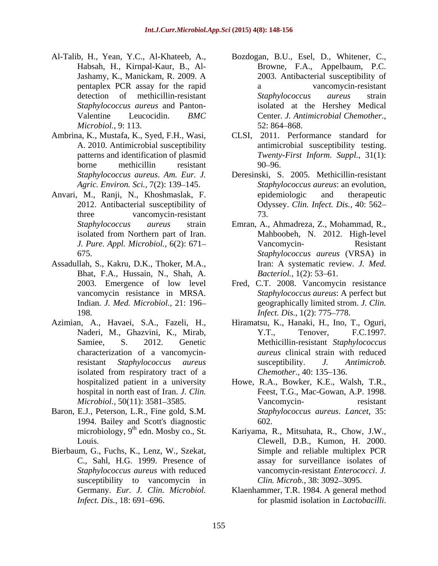- Al-Talib, H., Yean, Y.C., Al-Khateeb, A., pentaplex PCR assay for the rapid *Microbiol.,* 9: 113.
- Ambrina, K., Mustafa, K., Syed, F.H., Wasi,
- Anvari, M., Ranji, N., Khoshmaslak, F.
- Assadullah, S., Kakru, D.K., Thoker, M.A., Iran: A systematic rev<br>Bhat, F.A., Hussain, N., Shah, A. Bacteriol., 1(2): 53–61. Bhat, F.A., Hussain, N., Shah, A. 198. *Infect. Dis.*, 1(2): 775–778.
- 
- Baron, E.J., Peterson, L.R., Fine gold, S.M. 1994. Bailey and Scott's diagnostic  $602$ .<br>microbiology, 9<sup>th</sup> edn. Mosby co., St. Kariyama, I
- Bierbaum, G., Fuchs, K., Lenz, W., Szekat, susceptibility to vancomycin in
- Habsah, H., Kirnpal-Kaur, B., Al- Browne, F.A., Appelbaum, P.C. Jashamy, K., Manickam, R. 2009. A detection of methicillin-resistant Staphylococcus aureus strain *Staphylococcus aureus* and Panton- isolated at the Hershey Medical Valentine Leucocidin. *BMC*  Center. *J. Antimicrobial Chemother.,* Bozdogan, B.U., Esel, D., Whitener, C., 2003. Antibacterial susceptibility of vancomycin-resistant *Staphylococcus aureus* strain  $52: 864 - 868.$
- A. 2010. Antimicrobial susceptibility antimicrobial susceptibility testing. patterns and identification of plasmid *Twenty-First Inform. Suppl.,* 31(1): borne methicillin resistant CLSI, 2011. Performance standard for  $90 - 96.$
- *Staphylococcus aureus*. *Am. Eur. J.* Deresinski, S. 2005. Methicillin-resistant *Agric. Environ. Sci.,* 7(2): 139 145. *Staphylococcus aureus*: an evolution, 2012. Antibacterial susceptibility of Odyssey. *Clin. Infect. Dis.,* 40: 562 three vancomycin-resistant 73. epidemiologic and therapeutic 73.
- *Staphylococcus aureus* strain Emran, A., Ahmadreza, Z., Mohammad, R., isolated from Northern part of Iran. Mahboobeh, N. 2012. High-level *J. Pure. Appl. Microbiol.,* 6(2): 671 675. *Staphylococcus aureus* (VRSA) in Vancomycin- Resistant Iran: A systematic review. *J. Med. Bacteriol.,* 1(2): 53–61.
- 2003. Emergence of low level Fred, C.T. 2008. Vancomycin resistance vancomycin resistance in MRSA. *Staphylococcus aureus*: A perfect but Indian. *J. Med. Microbiol.,* 21: 196 geographically limited strom. *J. Clin. Staphylococcus aureus*: A perfect but *Infect. Dis.,* 1(2): 775–778.
- Azimian, A., Havaei, S.A., Fazeli, H., Hiramatsu, K., Hanaki, H., Ino, T., Oguri, Naderi, M., Ghazvini, K., Mirab, Samiee, S. 2012. Genetic Methicillin-resistant *Staphylococcus*  characterization of a vancomycin-*aureus* clinical strain with reduced resistant *Staphylococcus aureus* isolated from respiratory tract of a Chemother., 40: 135–136. Y.T., Tenover, F.C.1997. susceptibility. *J. Antimicrob. Chemother.,* 40: 135–136.
	- hospitalized patient in a university Howe, R.A., Bowker, K.E., Walsh, T.R., hospital in north east of Iran. *J. Clin.* Feest, T.G., Mac-Gowan, A.P. 1998. *Microbiol.,* 50(11): 3581–3585. Vancomycin-<br>
	Vancomycin-Vancomycin- resistant *Staphylococcus aureus*. *Lancet,* 35: 602.
	- microbiology, 9<sup>th</sup> edn. Mosby co., St. Kariyama, R., Mitsuhata, R., Chow, J.W., Louis. Clewell, D.B., Kumon, H. 2000. C., Sahl, H.G. 1999. Presence of assay for surveillance isolates of *Staphylococcus aureus* with reduced vancomycin-resistant *Enterococci*. *J.*  Simple and reliable multiplex PCR *Clin. Microb., 38: 3092-3095.*
	- Germany. *Eur. J. Clin. Microbiol.* Klaenhammer, T.R. 1984. A general method *Infect. Dis.*, 18: 691–696. **For plasmid isolation in** *Lactobacilli*.